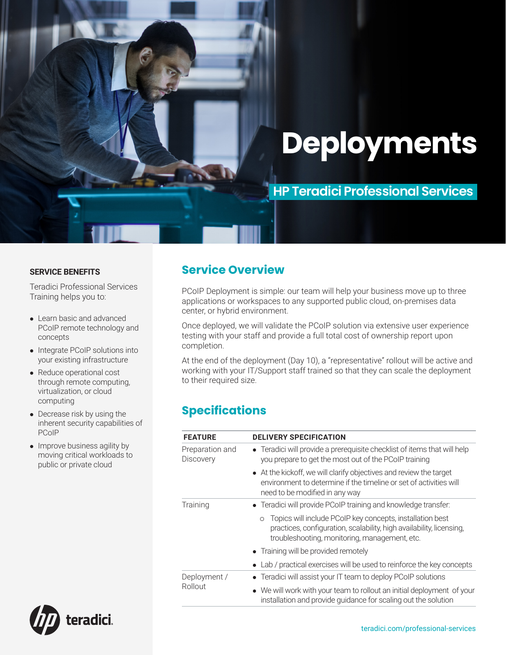# **Deployments**

## **HP Teradici Professional Services**

#### **SERVICE BENEFITS**

Teradici Professional Services Training helps you to:

- Learn basic and advanced PCoIP remote technology and concepts
- Integrate PCoIP solutions into your existing infrastructure
- Reduce operational cost through remote computing, virtualization, or cloud computing
- Decrease risk by using the inherent security capabilities of PCoIP
- Improve business agility by moving critical workloads to public or private cloud

### **Service Overview**

PCoIP Deployment is simple: our team will help your business move up to three applications or workspaces to any supported public cloud, on-premises data center, or hybrid environment.

Once deployed, we will validate the PCoIP solution via extensive user experience testing with your staff and provide a full total cost of ownership report upon completion.

At the end of the deployment (Day 10), a "representative" rollout will be active and working with your IT/Support staff trained so that they can scale the deployment to their required size.

## **Specifications**

| <b>FEATURE</b>                      | <b>DELIVERY SPECIFICATION</b>                                                                                                                                                                 |  |
|-------------------------------------|-----------------------------------------------------------------------------------------------------------------------------------------------------------------------------------------------|--|
| Preparation and<br><b>Discovery</b> | • Teradici will provide a prerequisite checklist of items that will help<br>you prepare to get the most out of the PCoIP training                                                             |  |
|                                     | • At the kickoff, we will clarify objectives and review the target<br>environment to determine if the timeline or set of activities will<br>need to be modified in any way                    |  |
| Training                            | • Teradici will provide PCoIP training and knowledge transfer:                                                                                                                                |  |
|                                     | Topics will include PCoIP key concepts, installation best<br>$\circ$<br>practices, configuration, scalability, high availability, licensing,<br>troubleshooting, monitoring, management, etc. |  |
|                                     | • Training will be provided remotely                                                                                                                                                          |  |
|                                     | • Lab / practical exercises will be used to reinforce the key concepts                                                                                                                        |  |
| Deployment /<br>Rollout             | • Teradici will assist your IT team to deploy PCoIP solutions                                                                                                                                 |  |
|                                     | • We will work with your team to rollout an initial deployment of your<br>installation and provide quidance for scaling out the solution                                                      |  |